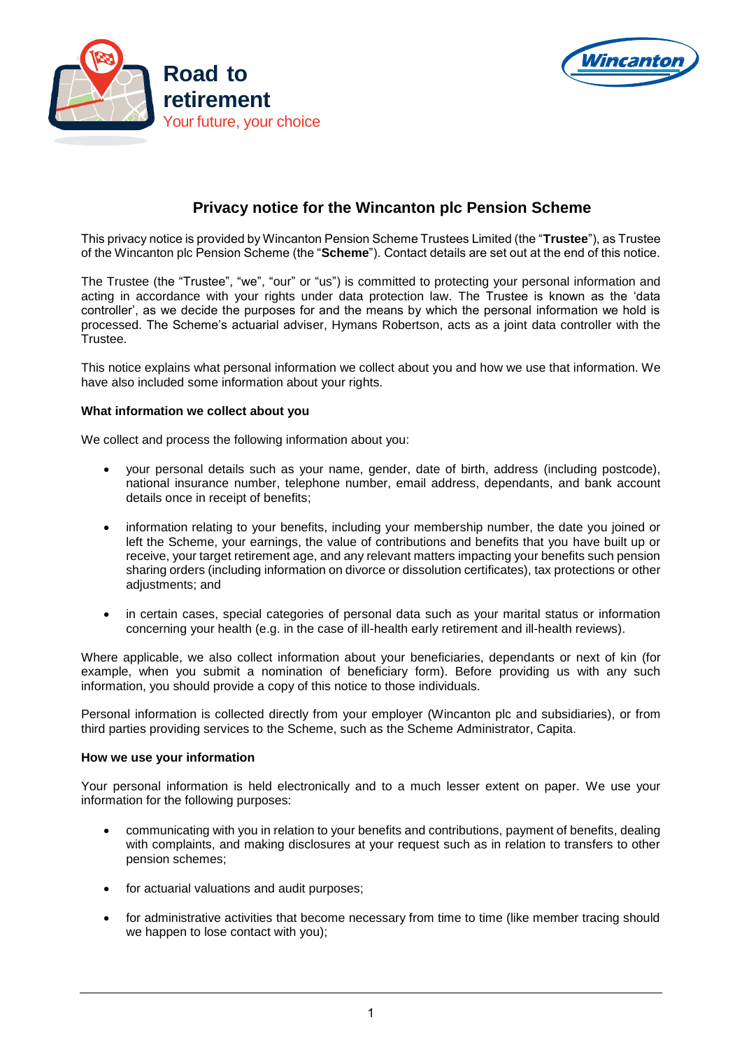



# **Privacy notice for the Wincanton plc Pension Scheme**

This privacy notice is provided by Wincanton Pension Scheme Trustees Limited (the "**Trustee**"), as Trustee of the Wincanton plc Pension Scheme (the "**Scheme**"). Contact details are set out at the end of this notice.

The Trustee (the "Trustee", "we", "our" or "us") is committed to protecting your personal information and acting in accordance with your rights under data protection law. The Trustee is known as the 'data controller', as we decide the purposes for and the means by which the personal information we hold is processed. The Scheme's actuarial adviser, Hymans Robertson, acts as a joint data controller with the Trustee.

This notice explains what personal information we collect about you and how we use that information. We have also included some information about your rights.

## **What information we collect about you**

We collect and process the following information about you:

- your personal details such as your name, gender, date of birth, address (including postcode), national insurance number, telephone number, email address, dependants, and bank account details once in receipt of benefits;
- information relating to your benefits, including your membership number, the date you joined or left the Scheme, your earnings, the value of contributions and benefits that you have built up or receive, your target retirement age, and any relevant matters impacting your benefits such pension sharing orders (including information on divorce or dissolution certificates), tax protections or other adjustments; and
- in certain cases, special categories of personal data such as your marital status or information concerning your health (e.g. in the case of ill-health early retirement and ill-health reviews).

Where applicable, we also collect information about your beneficiaries, dependants or next of kin (for example, when you submit a nomination of beneficiary form). Before providing us with any such information, you should provide a copy of this notice to those individuals.

Personal information is collected directly from your employer (Wincanton plc and subsidiaries), or from third parties providing services to the Scheme, such as the Scheme Administrator, Capita.

#### **How we use your information**

Your personal information is held electronically and to a much lesser extent on paper. We use your information for the following purposes:

- communicating with you in relation to your benefits and contributions, payment of benefits, dealing with complaints, and making disclosures at your request such as in relation to transfers to other pension schemes;
- for actuarial valuations and audit purposes;
- for administrative activities that become necessary from time to time (like member tracing should we happen to lose contact with you);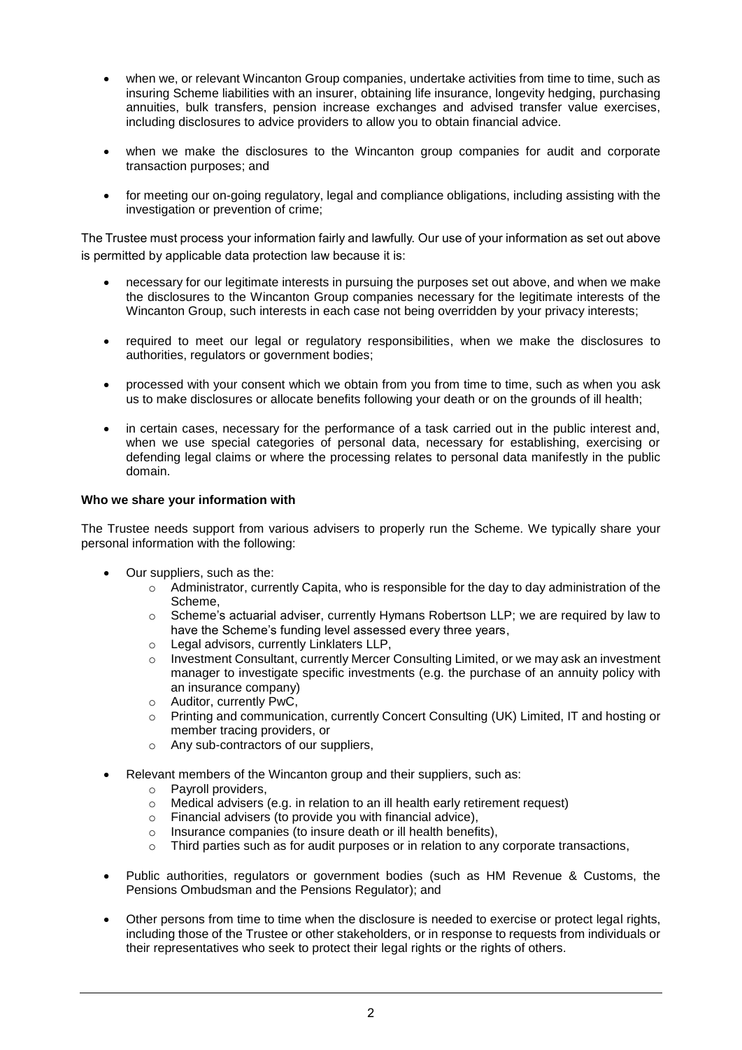- when we, or relevant Wincanton Group companies, undertake activities from time to time, such as insuring Scheme liabilities with an insurer, obtaining life insurance, longevity hedging, purchasing annuities, bulk transfers, pension increase exchanges and advised transfer value exercises, including disclosures to advice providers to allow you to obtain financial advice.
- when we make the disclosures to the Wincanton group companies for audit and corporate transaction purposes; and
- for meeting our on-going regulatory, legal and compliance obligations, including assisting with the investigation or prevention of crime;

The Trustee must process your information fairly and lawfully. Our use of your information as set out above is permitted by applicable data protection law because it is:

- necessary for our legitimate interests in pursuing the purposes set out above, and when we make the disclosures to the Wincanton Group companies necessary for the legitimate interests of the Wincanton Group, such interests in each case not being overridden by your privacy interests;
- required to meet our legal or regulatory responsibilities, when we make the disclosures to authorities, regulators or government bodies;
- processed with your consent which we obtain from you from time to time, such as when you ask us to make disclosures or allocate benefits following your death or on the grounds of ill health;
- in certain cases, necessary for the performance of a task carried out in the public interest and, when we use special categories of personal data, necessary for establishing, exercising or defending legal claims or where the processing relates to personal data manifestly in the public domain.

## **Who we share your information with**

The Trustee needs support from various advisers to properly run the Scheme. We typically share your personal information with the following:

- Our suppliers, such as the:
	- $\circ$  Administrator, currently Capita, who is responsible for the day to day administration of the Scheme,
	- $\circ$  Scheme's actuarial adviser, currently Hymans Robertson LLP; we are required by law to have the Scheme's funding level assessed every three years,
	- o Legal advisors, currently Linklaters LLP,
	- $\circ$  Investment Consultant, currently Mercer Consulting Limited, or we may ask an investment manager to investigate specific investments (e.g. the purchase of an annuity policy with an insurance company)
	- o Auditor, currently PwC,
	- o Printing and communication, currently Concert Consulting (UK) Limited, IT and hosting or member tracing providers, or
	- o Any sub-contractors of our suppliers,
- Relevant members of the Wincanton group and their suppliers, such as:
	- o Payroll providers,
	- o Medical advisers (e.g. in relation to an ill health early retirement request)
	- $\circ$  Financial advisers (to provide you with financial advice),
	- o Insurance companies (to insure death or ill health benefits),
	- $\circ$  Third parties such as for audit purposes or in relation to any corporate transactions,
- Public authorities, regulators or government bodies (such as HM Revenue & Customs, the Pensions Ombudsman and the Pensions Regulator); and
- Other persons from time to time when the disclosure is needed to exercise or protect legal rights, including those of the Trustee or other stakeholders, or in response to requests from individuals or their representatives who seek to protect their legal rights or the rights of others.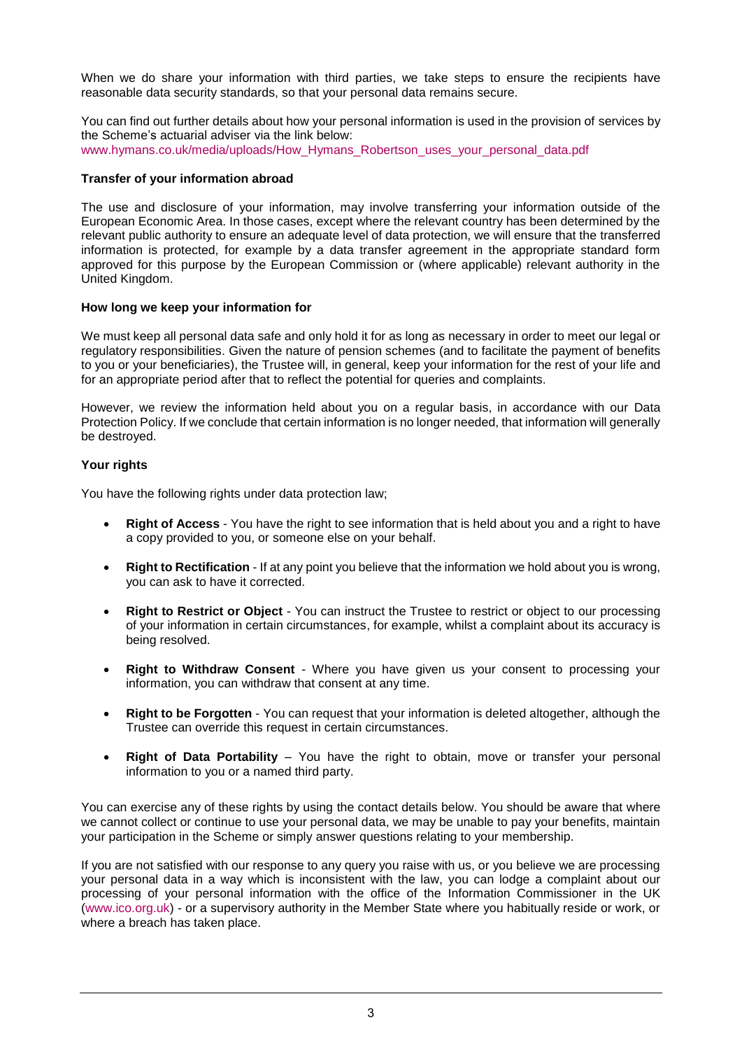When we do share your information with third parties, we take steps to ensure the recipients have reasonable data security standards, so that your personal data remains secure.

You can find out further details about how your personal information is used in the provision of services by the Scheme's actuarial adviser via the link below: www.hymans.co.uk/media/uploads/How\_Hymans\_Robertson\_uses\_your\_personal\_data.pdf

# **Transfer of your information abroad**

The use and disclosure of your information, may involve transferring your information outside of the European Economic Area. In those cases, except where the relevant country has been determined by the relevant public authority to ensure an adequate level of data protection, we will ensure that the transferred information is protected, for example by a data transfer agreement in the appropriate standard form approved for this purpose by the European Commission or (where applicable) relevant authority in the United Kingdom.

## **How long we keep your information for**

We must keep all personal data safe and only hold it for as long as necessary in order to meet our legal or regulatory responsibilities. Given the nature of pension schemes (and to facilitate the payment of benefits to you or your beneficiaries), the Trustee will, in general, keep your information for the rest of your life and for an appropriate period after that to reflect the potential for queries and complaints.

However, we review the information held about you on a regular basis, in accordance with our Data Protection Policy. If we conclude that certain information is no longer needed, that information will generally be destroyed.

## **Your rights**

You have the following rights under data protection law;

- **Right of Access** You have the right to see information that is held about you and a right to have a copy provided to you, or someone else on your behalf.
- **Right to Rectification** If at any point you believe that the information we hold about you is wrong, you can ask to have it corrected.
- **Right to Restrict or Object** You can instruct the Trustee to restrict or object to our processing of your information in certain circumstances, for example, whilst a complaint about its accuracy is being resolved.
- **Right to Withdraw Consent** Where you have given us your consent to processing your information, you can withdraw that consent at any time.
- **Right to be Forgotten** You can request that your information is deleted altogether, although the Trustee can override this request in certain circumstances.
- **Right of Data Portability** You have the right to obtain, move or transfer your personal information to you or a named third party.

You can exercise any of these rights by using the contact details below. You should be aware that where we cannot collect or continue to use your personal data, we may be unable to pay your benefits, maintain your participation in the Scheme or simply answer questions relating to your membership.

If you are not satisfied with our response to any query you raise with us, or you believe we are processing your personal data in a way which is inconsistent with the law, you can lodge a complaint about our processing of your personal information with the office of the Information Commissioner in the UK [\(www.ico.org.uk\)](http://www.ico.org.uk/) - or a supervisory authority in the Member State where you habitually reside or work, or where a breach has taken place.